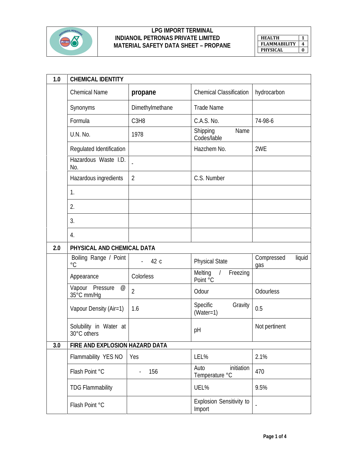

## **LPG IMPORT TERMINAL INDIANOIL PETRONAS PRIVATE LIMITED MATERIAL SAFETY DATA SHEET – PROPANE**

**HEALTH 1 FLAMMABILITY 4 PHYSICAL 0**

| 1.0 | <b>CHEMICAL IDENTITY</b>                                   |                               |                                           |                             |
|-----|------------------------------------------------------------|-------------------------------|-------------------------------------------|-----------------------------|
|     | <b>Chemical Name</b>                                       | propane                       | <b>Chemical Classification</b>            | hydrocarbon                 |
|     | Synonyms                                                   | Dimethylmethane               | <b>Trade Name</b>                         |                             |
|     | Formula                                                    | C <sub>3</sub> H <sub>8</sub> | C.A.S. No.                                | 74-98-6                     |
|     | U.N. No.                                                   | 1978                          | Shipping<br>Name<br>Codes/lable           |                             |
|     | Regulated Identification                                   |                               | Hazchem No.                               | 2WE                         |
|     | Hazardous Waste I.D.<br>No.                                | $\overline{\phantom{a}}$      |                                           |                             |
|     | Hazardous ingredients                                      | $\overline{2}$                | C.S. Number                               |                             |
|     | 1.                                                         |                               |                                           |                             |
|     | 2.                                                         |                               |                                           |                             |
|     | 3.                                                         |                               |                                           |                             |
|     | 4.                                                         |                               |                                           |                             |
| 2.0 | PHYSICAL AND CHEMICAL DATA                                 |                               |                                           |                             |
|     | Boiling Range / Point<br>$\rm ^{\circ}C$                   | 42 c                          | <b>Physical State</b>                     | Compressed<br>liquid<br>gas |
|     | Appearance                                                 | Colorless                     | Melting<br>Freezing<br>Point °C           |                             |
|     | Vapour Pressure<br>$^\text{\textregistered}$<br>35°C_mm/Hg | $\overline{2}$                | Odour                                     | Odourless                   |
|     | Vapour Density (Air=1)                                     | 1.6                           | Specific<br>Gravity<br>$(Water=1)$        | 0.5                         |
|     | Solubility in Water at<br>30°C others                      |                               | рH                                        | Not pertinent               |
| 3.0 | FIRE AND EXPLOSION HAZARD DATA                             |                               |                                           |                             |
|     | Flammability YES NO                                        | Yes                           | LEL%                                      | 2.1%                        |
|     | Flash Point °C                                             | 156                           | initiation<br>Auto<br>Temperature °C      | 470                         |
|     | <b>TDG Flammability</b>                                    |                               | UEL%                                      | 9.5%                        |
|     | Flash Point °C                                             |                               | <b>Explosion Sensitivity to</b><br>Import |                             |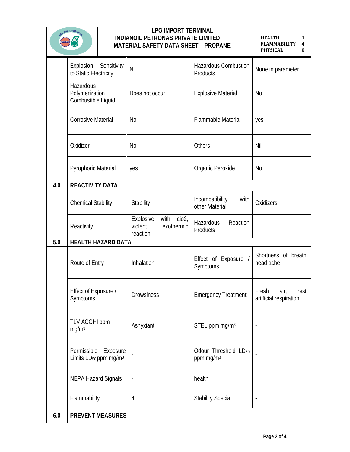| DIANOIL PETRON |                                                              | <b>LPG IMPORT TERMINAL</b><br>INDIANOIL PETRONAS PRIVATE LIMITED<br>MATERIAL SAFETY DATA SHEET - PROPANE |                                                                             | <b>HEALTH</b><br>$\mathbf{1}$<br><b>FLAMMABILITY</b><br>4<br><b>PHYSICAL</b><br>$\bf{0}$ |                                                  |
|----------------|--------------------------------------------------------------|----------------------------------------------------------------------------------------------------------|-----------------------------------------------------------------------------|------------------------------------------------------------------------------------------|--------------------------------------------------|
|                | Explosion<br>to Static Electricity                           | Sensitivity                                                                                              | Nil                                                                         | <b>Hazardous Combustion</b><br>Products                                                  | None in parameter                                |
|                | Hazardous<br>Polymerization<br>Combustible Liquid            |                                                                                                          | Does not occur                                                              | <b>Explosive Material</b>                                                                | No                                               |
|                | <b>Corrosive Material</b>                                    |                                                                                                          | <b>No</b>                                                                   | <b>Flammable Material</b>                                                                | yes                                              |
|                | Oxidizer                                                     |                                                                                                          | <b>No</b>                                                                   | Others                                                                                   | Nil                                              |
|                | <b>Pyrophoric Material</b>                                   |                                                                                                          | yes                                                                         | Organic Peroxide                                                                         | No                                               |
| 4.0            | REACTIVITY DATA                                              |                                                                                                          |                                                                             |                                                                                          |                                                  |
|                | <b>Chemical Stability</b>                                    |                                                                                                          | Stability                                                                   | Incompatibility<br>with<br>other Material                                                | Oxidizers                                        |
|                | Reactivity                                                   |                                                                                                          | with<br>cio2 <sub>1</sub><br>Explosive<br>violent<br>exothermic<br>reaction | Reaction<br>Hazardous<br>Products                                                        |                                                  |
| 5.0            |                                                              | HEALTH HAZARD DATA                                                                                       |                                                                             |                                                                                          |                                                  |
|                | Route of Entry                                               |                                                                                                          | Inhalation                                                                  | Effect of Exposure /<br>Symptoms                                                         | Shortness of breath,<br>head ache                |
|                | Effect of Exposure /<br>Symptoms                             |                                                                                                          | <b>Drowsiness</b>                                                           | <b>Emergency Treatment</b>                                                               | Fresh<br>air,<br>rest,<br>artificial respiration |
|                | TLV ACGHI ppm<br>mg/m <sup>3</sup>                           |                                                                                                          | Ashyxiant                                                                   | STEL ppm mg/m <sup>3</sup>                                                               | $\overline{\phantom{a}}$                         |
|                | Permissible<br>Limits LD <sub>50</sub> ppm mg/m <sup>3</sup> | Exposure                                                                                                 |                                                                             | Odour Threshold LD <sub>50</sub><br>ppm mg/m <sup>3</sup>                                |                                                  |
|                | <b>NEPA Hazard Signals</b>                                   |                                                                                                          | $\overline{\phantom{a}}$                                                    | health                                                                                   |                                                  |
|                | Flammability                                                 |                                                                                                          | 4                                                                           | <b>Stability Special</b>                                                                 |                                                  |
| 6.0            |                                                              | PREVENT MEASURES                                                                                         |                                                                             |                                                                                          |                                                  |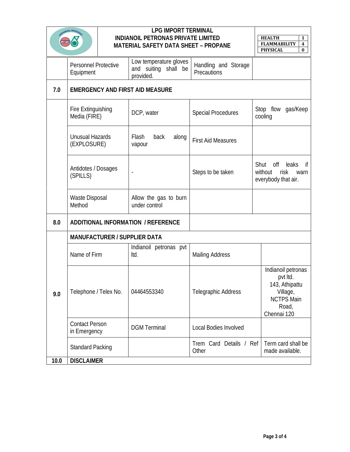|      | O <sup>IANOIL PETROA</sup>                |  | <b>LPG IMPORT TERMINAL</b><br>INDIANOIL PETRONAS PRIVATE LIMITED<br>MATERIAL SAFETY DATA SHEET - PROPANE |                                     | <b>HEALTH</b><br>1<br>$\boldsymbol{4}$<br><b>FLAMMABILITY</b><br><b>PHYSICAL</b><br>$\bf{0}$              |
|------|-------------------------------------------|--|----------------------------------------------------------------------------------------------------------|-------------------------------------|-----------------------------------------------------------------------------------------------------------|
|      | <b>Personnel Protective</b><br>Equipment  |  | Low temperature gloves<br>and suiting shall be<br>provided.                                              | Handling and Storage<br>Precautions |                                                                                                           |
| 7.0  |                                           |  | <b>EMERGENCY AND FIRST AID MEASURE</b>                                                                   |                                     |                                                                                                           |
|      | <b>Fire Extinguishing</b><br>Media (FIRE) |  | DCP, water                                                                                               | <b>Special Procedures</b>           | Stop flow<br>gas/Keep<br>cooling                                                                          |
|      | <b>Unusual Hazards</b><br>(EXPLOSURE)     |  | Flash<br>back<br>along<br>vapour                                                                         | <b>First Aid Measures</b>           |                                                                                                           |
|      | Antidotes / Dosages<br>(SPILLS)           |  | $\overline{\phantom{a}}$                                                                                 | Steps to be taken                   | Shut<br>off<br>if<br>leaks<br>without<br>risk<br>warn<br>everybody that air.                              |
|      | Waste Disposal<br>Method                  |  | Allow the gas to burn<br>under control                                                                   |                                     |                                                                                                           |
| 8.0  |                                           |  | ADDITIONAL INFORMATION / REFERENCE                                                                       |                                     |                                                                                                           |
|      | MANUFACTURER / SUPPLIER DATA              |  |                                                                                                          |                                     |                                                                                                           |
|      | Name of Firm                              |  | Indianoil petronas pvt<br>Itd.                                                                           | <b>Mailing Address</b>              |                                                                                                           |
| 9.0  | Telephone / Telex No.                     |  | 04464553340                                                                                              | <b>Telegraphic Address</b>          | Indianoil petronas<br>pvt Itd.<br>143, Athipattu<br>Village,<br><b>NCTPS Main</b><br>Road,<br>Chennai 120 |
|      | <b>Contact Person</b><br>in Emergency     |  | <b>DGM</b> Terminal                                                                                      | <b>Local Bodies Involved</b>        |                                                                                                           |
|      | <b>Standard Packing</b>                   |  |                                                                                                          | Trem Card Details / Ref<br>Other    | Term card shall be<br>made available.                                                                     |
| 10.0 | <b>DISCLAIMER</b>                         |  |                                                                                                          |                                     |                                                                                                           |